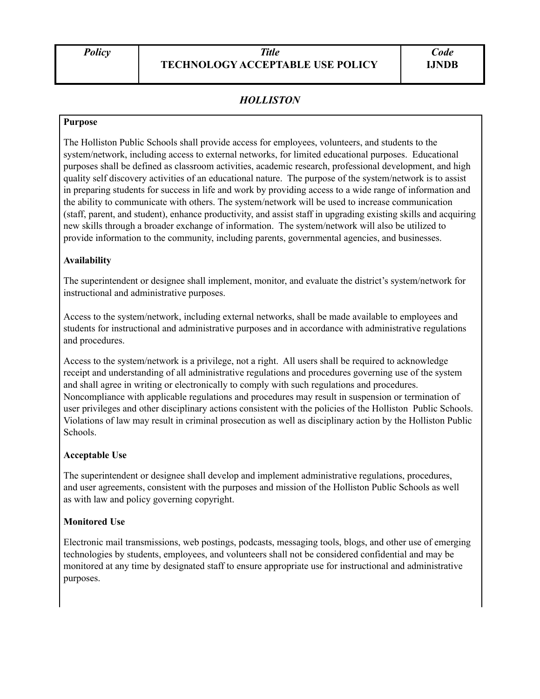# *HOLLISTON*

#### **Purpose**

The Holliston Public Schools shall provide access for employees, volunteers, and students to the system/network, including access to external networks, for limited educational purposes. Educational purposes shall be defined as classroom activities, academic research, professional development, and high quality self discovery activities of an educational nature. The purpose of the system/network is to assist in preparing students for success in life and work by providing access to a wide range of information and the ability to communicate with others. The system/network will be used to increase communication (staff, parent, and student), enhance productivity, and assist staff in upgrading existing skills and acquiring new skills through a broader exchange of information. The system/network will also be utilized to provide information to the community, including parents, governmental agencies, and businesses.

#### **Availability**

The superintendent or designee shall implement, monitor, and evaluate the district's system/network for instructional and administrative purposes.

Access to the system/network, including external networks, shall be made available to employees and students for instructional and administrative purposes and in accordance with administrative regulations and procedures.

Access to the system/network is a privilege, not a right. All users shall be required to acknowledge receipt and understanding of all administrative regulations and procedures governing use of the system and shall agree in writing or electronically to comply with such regulations and procedures. Noncompliance with applicable regulations and procedures may result in suspension or termination of user privileges and other disciplinary actions consistent with the policies of the Holliston Public Schools. Violations of law may result in criminal prosecution as well as disciplinary action by the Holliston Public Schools.

#### **Acceptable Use**

The superintendent or designee shall develop and implement administrative regulations, procedures, and user agreements, consistent with the purposes and mission of the Holliston Public Schools as well as with law and policy governing copyright.

### **Monitored Use**

Electronic mail transmissions, web postings, podcasts, messaging tools, blogs, and other use of emerging technologies by students, employees, and volunteers shall not be considered confidential and may be monitored at any time by designated staff to ensure appropriate use for instructional and administrative purposes.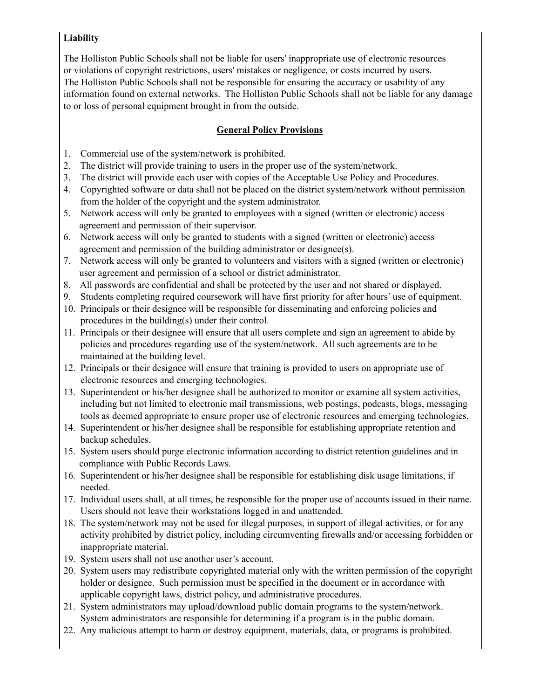## **Liability**

The Holliston Public Schools shall not be liable for users' inappropriate use of electronic resources or violations of copyright restrictions, users' mistakes or negligence, or costs incurred by users. The Holliston Public Schools shall not be responsible for ensuring the accuracy or usability of any information found on external networks. The Holliston Public Schools shall not be liable for any damage to or loss of personal equipment brought in from the outside.

# **General Policy Provisions**

- 1. Commercial use of the system/network is prohibited.
- 2. The district will provide training to users in the proper use of the system/network.
- 3. The district will provide each user with copies of the Acceptable Use Policy and Procedures.
- 4. Copyrighted software or data shall not be placed on the district system/network without permission from the holder of the copyright and the system administrator.
- 5. Network access will only be granted to employees with a signed (written or electronic) access agreement and permission of their supervisor.
- 6. Network access will only be granted to students with a signed (written or electronic) access agreement and permission of the building administrator or designee(s).
- 7. Network access will only be granted to volunteers and visitors with a signed (written or electronic) user agreement and permission of a school or district administrator.
- 8. All passwords are confidential and shall be protected by the user and not shared or displayed.
- 9. Students completing required coursework will have first priority for after hours' use of equipment.
- 10. Principals or their designee will be responsible for disseminating and enforcing policies and procedures in the building(s) under their control.
- 11. Principals or their designee will ensure that all users complete and sign an agreement to abide by policies and procedures regarding use of the system/network. All such agreements are to be maintained at the building level.
- 12. Principals or their designee will ensure that training is provided to users on appropriate use of electronic resources and emerging technologies.
- 13. Superintendent or his/her designee shall be authorized to monitor or examine all system activities, including but not limited to electronic mail transmissions, web postings, podcasts, blogs, messaging tools as deemed appropriate to ensure proper use of electronic resources and emerging technologies.
- 14. Superintendent or his/her designee shall be responsible for establishing appropriate retention and backup schedules.
- 15. System users should purge electronic information according to district retention guidelines and in compliance with Public Records Laws.
- 16. Superintendent or his/her designee shall be responsible for establishing disk usage limitations, if needed.
- 17. Individual users shall, at all times, be responsible for the proper use of accounts issued in their name. Users should not leave their workstations logged in and unattended.
- 18. The system/network may not be used for illegal purposes, in support of illegal activities, or for any activity prohibited by district policy, including circumventing firewalls and/or accessing forbidden or inappropriate material.
- 19. System users shall not use another user's account.
- 20. System users may redistribute copyrighted material only with the written permission of the copyright holder or designee. Such permission must be specified in the document or in accordance with applicable copyright laws, district policy, and administrative procedures.
- 21. System administrators may upload/download public domain programs to the system/network. System administrators are responsible for determining if a program is in the public domain.
- 22. Any malicious attempt to harm or destroy equipment, materials, data, or programs is prohibited.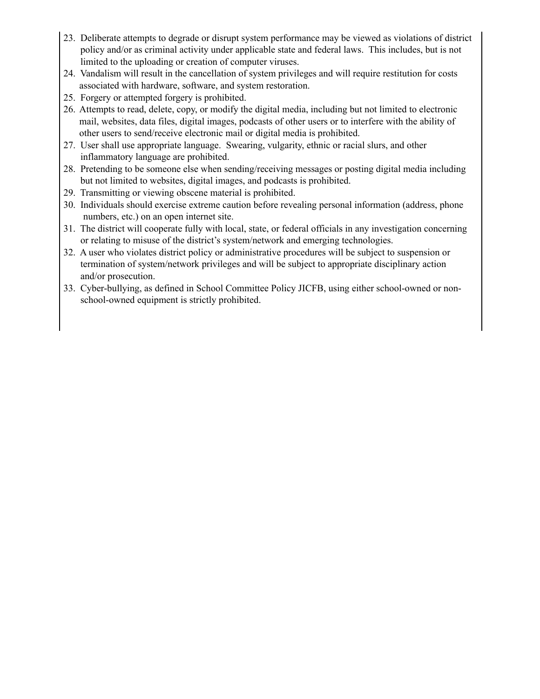- 23. Deliberate attempts to degrade or disrupt system performance may be viewed as violations of district policy and/or as criminal activity under applicable state and federal laws. This includes, but is not limited to the uploading or creation of computer viruses.
- 24. Vandalism will result in the cancellation of system privileges and will require restitution for costs associated with hardware, software, and system restoration.
- 25. Forgery or attempted forgery is prohibited.
- 26. Attempts to read, delete, copy, or modify the digital media, including but not limited to electronic mail, websites, data files, digital images, podcasts of other users or to interfere with the ability of other users to send/receive electronic mail or digital media is prohibited.
- 27. User shall use appropriate language. Swearing, vulgarity, ethnic or racial slurs, and other inflammatory language are prohibited.
- 28. Pretending to be someone else when sending/receiving messages or posting digital media including but not limited to websites, digital images, and podcasts is prohibited.
- 29. Transmitting or viewing obscene material is prohibited.
- 30. Individuals should exercise extreme caution before revealing personal information (address, phone numbers, etc.) on an open internet site.
- 31. The district will cooperate fully with local, state, or federal officials in any investigation concerning or relating to misuse of the district's system/network and emerging technologies.
- 32. A user who violates district policy or administrative procedures will be subject to suspension or termination of system/network privileges and will be subject to appropriate disciplinary action and/or prosecution.
- 33. Cyber-bullying, as defined in School Committee Policy JICFB, using either school-owned or nonschool-owned equipment is strictly prohibited.